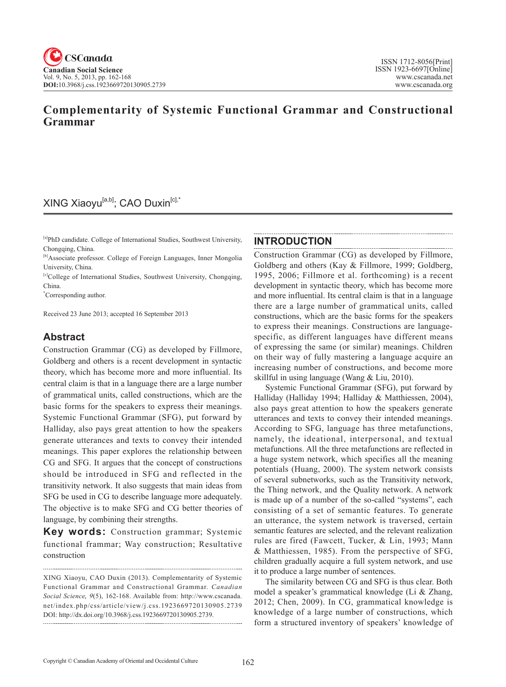## **Complementarity of Systemic Functional Grammar and Constructional Grammar**

## XING Xiaoyu<sup>[a,b]</sup>; CAO Duxin<sup>[c],\*</sup>

[a]PhD candidate. College of International Studies, Southwest University, Chongqing, China.

[b]Associate professor. College of Foreign Languages, Inner Mongolia University, China.

[c]College of International Studies, Southwest University, Chongqing, China.

\* Corresponding author.

Received 23 June 2013; accepted 16 September 2013

## **Abstract**

Construction Grammar (CG) as developed by Fillmore, Goldberg and others is a recent development in syntactic theory, which has become more and more influential. Its central claim is that in a language there are a large number of grammatical units, called constructions, which are the basic forms for the speakers to express their meanings. Systemic Functional Grammar (SFG), put forward by Halliday, also pays great attention to how the speakers generate utterances and texts to convey their intended meanings. This paper explores the relationship between CG and SFG. It argues that the concept of constructions should be introduced in SFG and reflected in the transitivity network. It also suggests that main ideas from SFG be used in CG to describe language more adequately. The objective is to make SFG and CG better theories of language, by combining their strengths.

**Key words:** Construction grammar; Systemic functional frammar; Way construction; Resultative construction

### **INTRODUCTION**

Construction Grammar (CG) as developed by Fillmore, Goldberg and others (Kay & Fillmore, 1999; Goldberg, 1995, 2006; Fillmore et al. forthcoming) is a recent development in syntactic theory, which has become more and more influential. Its central claim is that in a language there are a large number of grammatical units, called constructions, which are the basic forms for the speakers to express their meanings. Constructions are languagespecific, as different languages have different means of expressing the same (or similar) meanings. Children on their way of fully mastering a language acquire an increasing number of constructions, and become more skillful in using language (Wang & Liu, 2010).

Systemic Functional Grammar (SFG), put forward by Halliday (Halliday 1994; Halliday & Matthiessen, 2004), also pays great attention to how the speakers generate utterances and texts to convey their intended meanings. According to SFG, language has three metafunctions, namely, the ideational, interpersonal, and textual metafunctions. All the three metafunctions are reflected in a huge system network, which specifies all the meaning potentials (Huang, 2000). The system network consists of several subnetworks, such as the Transitivity network, the Thing network, and the Quality network. A network is made up of a number of the so-called "systems", each consisting of a set of semantic features. To generate an utterance, the system network is traversed, certain semantic features are selected, and the relevant realization rules are fired (Fawcett, Tucker, & Lin, 1993; Mann & Matthiessen, 1985). From the perspective of SFG, children gradually acquire a full system network, and use it to produce a large number of sentences.

The similarity between CG and SFG is thus clear. Both model a speaker's grammatical knowledge (Li & Zhang, 2012; Chen, 2009). In CG, grammatical knowledge is knowledge of a large number of constructions, which form a structured inventory of speakers' knowledge of

XING Xiaoyu, CAO Duxin (2013). Complementarity of Systemic Functional Grammar and Constructional Grammar. *Canadian Social Science*, <sup>9</sup>(5), 162-168. Available from: http://www.cscanada. net/index.php/css/article/view/j.css.1923669720130905.2739 DOI: http://dx.doi.org/10.3968/j.css.1923669720130905.2739.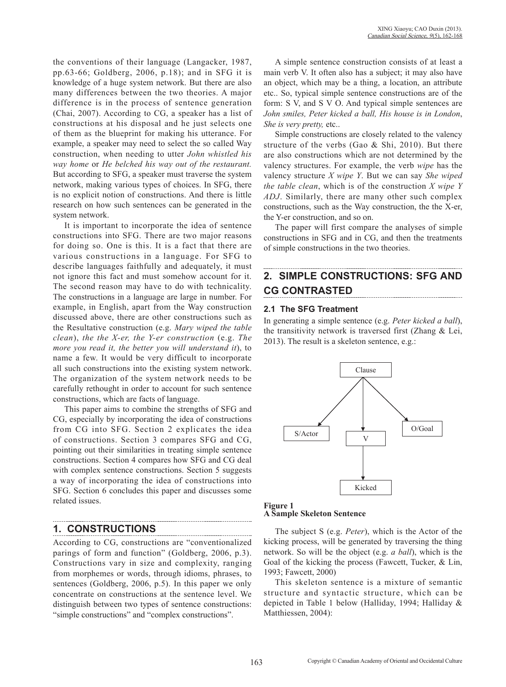the conventions of their language (Langacker, 1987, pp.63-66; Goldberg, 2006, p.18); and in SFG it is knowledge of a huge system network. But there are also many differences between the two theories. A major difference is in the process of sentence generation (Chai, 2007). According to CG, a speaker has a list of constructions at his disposal and he just selects one of them as the blueprint for making his utterance. For example, a speaker may need to select the so called Way construction, when needing to utter *John whistled his way home* or *He belched his way out of the restaurant.* But according to SFG, a speaker must traverse the system network, making various types of choices. In SFG, there is no explicit notion of constructions. And there is little research on how such sentences can be generated in the system network.

It is important to incorporate the idea of sentence constructions into SFG. There are two major reasons for doing so. One is this. It is a fact that there are various constructions in a language. For SFG to describe languages faithfully and adequately, it must not ignore this fact and must somehow account for it. The second reason may have to do with technicality. The constructions in a language are large in number. For example, in English, apart from the Way construction discussed above, there are other constructions such as the Resultative construction (e.g. *Mary wiped the table clean*), *the the X-er, the Y-er construction* (e.g. *The more you read it, the better you will understand it*), to name a few. It would be very difficult to incorporate all such constructions into the existing system network. The organization of the system network needs to be carefully rethought in order to account for such sentence constructions, which are facts of language.

This paper aims to combine the strengths of SFG and CG, especially by incorporating the idea of constructions from CG into SFG. Section 2 explicates the idea of constructions. Section 3 compares SFG and CG, pointing out their similarities in treating simple sentence constructions. Section 4 compares how SFG and CG deal with complex sentence constructions. Section 5 suggests a way of incorporating the idea of constructions into SFG. Section 6 concludes this paper and discusses some related issues.

## **1. CONSTRUCTIONS**

According to CG, constructions are "conventionalized parings of form and function" (Goldberg, 2006, p.3). Constructions vary in size and complexity, ranging from morphemes or words, through idioms, phrases, to sentences (Goldberg, 2006, p.5). In this paper we only concentrate on constructions at the sentence level. We distinguish between two types of sentence constructions: "simple constructions" and "complex constructions".

A simple sentence construction consists of at least a main verb V. It often also has a subject; it may also have an object, which may be a thing, a location, an attribute etc.. So, typical simple sentence constructions are of the form: S V, and S V O. And typical simple sentences are *John smiles, Peter kicked a ball, His house is in London*, *She is very pretty,* etc..

Simple constructions are closely related to the valency structure of the verbs (Gao & Shi, 2010). But there are also constructions which are not determined by the valency structures. For example, the verb *wipe* has the valency structure *X wipe Y*. But we can say *She wiped the table clean*, which is of the construction *X wipe Y ADJ*. Similarly, there are many other such complex constructions, such as the Way construction, the the X-er, the Y-er construction, and so on.

The paper will first compare the analyses of simple constructions in SFG and in CG, and then the treatments of simple constructions in the two theories.

# **2. SIMPLE CONSTRUCTIONS: SFG AND CG CONTRASTED**

### **2.1 The SFG Treatment**

In generating a simple sentence (e.g. *Peter kicked a ball*), the transitivity network is traversed first (Zhang & Lei, 2013). The result is a skeleton sentence, e.g.:



**Figure 1 A Sample Skeleton Sentence**

The subject S (e.g. *Peter*), which is the Actor of the kicking process, will be generated by traversing the thing network. So will be the object (e.g. *a ball*), which is the Goal of the kicking the process (Fawcett, Tucker, & Lin, 1993; Fawcett, 2000)

This skeleton sentence is a mixture of semantic structure and syntactic structure, which can be depicted in Table 1 below (Halliday, 1994; Halliday & Matthiessen, 2004):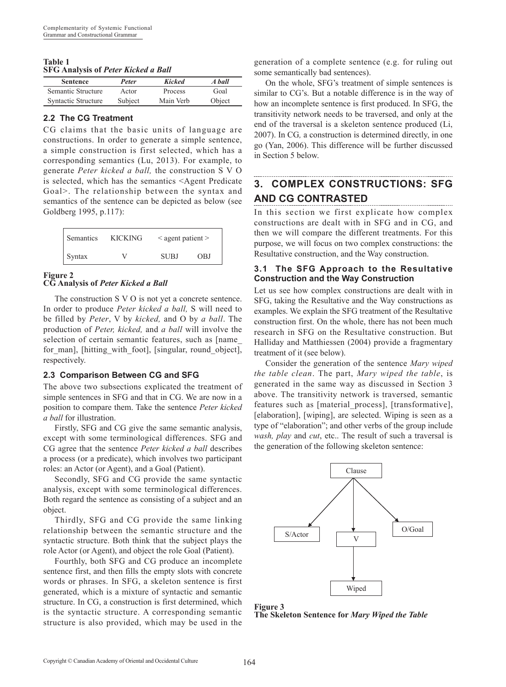#### **Table 1 SFG Analysis of** *Peter Kicked a Ball*

| <b>Sentence</b>     | Peter   | <b>Kicked</b> | A ball |
|---------------------|---------|---------------|--------|
| Semantic Structure  | Actor   | Process       | Goal   |
| Syntactic Structure | Subject | Main Verb     | Object |

### **2.2 The CG Treatment**

CG claims that the basic units of language are constructions. In order to generate a simple sentence, a simple construction is first selected, which has a corresponding semantics (Lu, 2013). For example, to generate *Peter kicked a ball,* the construction S V O is selected, which has the semantics <Agent Predicate Goal>. The relationship between the syntax and semantics of the sentence can be depicted as below (see Goldberg 1995, p.117):

| <b>Semantics</b> | <b>KICKING</b> | $\leq$ agent patient $\geq$ |     |
|------------------|----------------|-----------------------------|-----|
| Syntax           | V              | <b>SUBJ</b>                 | OBJ |

## **Figure 2**

**CG Analysis of** *Peter Kicked a Ball*

The construction S V O is not yet a concrete sentence. In order to produce *Peter kicked a ball,* S will need to be filled by *Peter*, V by *kicked,* and O by *a ball*. The production of *Peter, kicked,* and *a ball* will involve the selection of certain semantic features, such as [name for man], [hitting with foot], [singular, round object], respectively.

### **2.3 Comparison Between CG and SFG**

The above two subsections explicated the treatment of simple sentences in SFG and that in CG. We are now in a position to compare them. Take the sentence *Peter kicked a ball* for illustration.

Firstly, SFG and CG give the same semantic analysis, except with some terminological differences. SFG and CG agree that the sentence *Peter kicked a ball* describes a process (or a predicate), which involves two participant roles: an Actor (or Agent), and a Goal (Patient).

Secondly, SFG and CG provide the same syntactic analysis, except with some terminological differences. Both regard the sentence as consisting of a subject and an object.

Thirdly, SFG and CG provide the same linking relationship between the semantic structure and the syntactic structure. Both think that the subject plays the role Actor (or Agent), and object the role Goal (Patient).

Fourthly, both SFG and CG produce an incomplete sentence first, and then fills the empty slots with concrete words or phrases. In SFG, a skeleton sentence is first generated, which is a mixture of syntactic and semantic structure. In CG, a construction is first determined, which is the syntactic structure. A corresponding semantic structure is also provided, which may be used in the

generation of a complete sentence (e.g. for ruling out some semantically bad sentences).

On the whole, SFG's treatment of simple sentences is similar to CG's. But a notable difference is in the way of how an incomplete sentence is first produced. In SFG, the transitivity network needs to be traversed, and only at the end of the traversal is a skeleton sentence produced (Li, 2007). In CG*,* a construction is determined directly, in one go (Yan, 2006). This difference will be further discussed in Section 5 below.

# **3. COMPLEX CONSTRUCTIONS: SFG AND CG CONTRASTED**

In this section we first explicate how complex constructions are dealt with in SFG and in CG, and then we will compare the different treatments. For this purpose, we will focus on two complex constructions: the Resultative construction, and the Way construction.

### **3.1 The SFG Approach to the Resultative Construction and the Way Construction**

Let us see how complex constructions are dealt with in SFG, taking the Resultative and the Way constructions as examples. We explain the SFG treatment of the Resultative construction first. On the whole, there has not been much research in SFG on the Resultative construction. But Halliday and Matthiessen (2004) provide a fragmentary treatment of it (see below).

Consider the generation of the sentence *Mary wiped the table clean*. The part, *Mary wiped the table*, is generated in the same way as discussed in Section 3 above. The transitivity network is traversed, semantic features such as [material\_process], [transformative], [elaboration], [wiping], are selected. Wiping is seen as a type of "elaboration"; and other verbs of the group include *wash, play* and *cut*, etc.. The result of such a traversal is the generation of the following skeleton sentence:



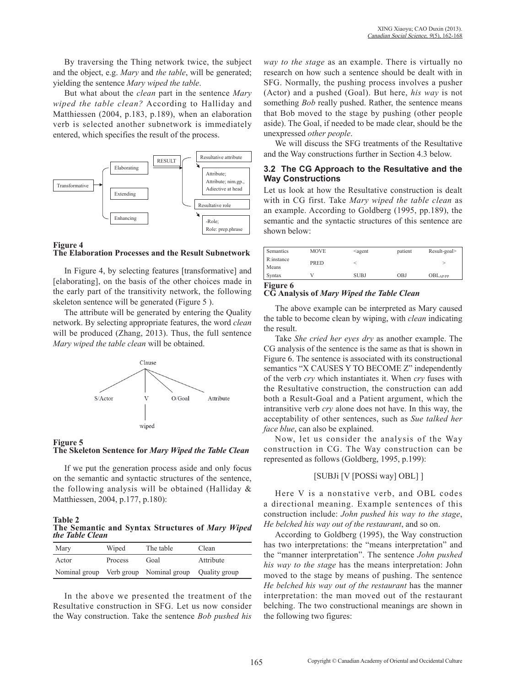By traversing the Thing network twice, the subject and the object, e.g. *Mary* and *the table*, will be generated; yielding the sentence *Mary wiped the table*.

But what about the *clean* part in the sentence *Mary wiped the table clean?* According to Halliday and Matthiessen (2004, p.183, p.189), when an elaboration verb is selected another subnetwork is immediately entered, which specifies the result of the process.



#### **Figure 4 The Elaboration Processes and the Result Subnetwork**

In Figure 4, by selecting features [transformative] and [elaborating], on the basis of the other choices made in the early part of the transitivity network, the following skeleton sentence will be generated (Figure 5 ).

The attribute will be generated by entering the Quality network. By selecting appropriate features, the word *clean* will be produced (Zhang, 2013). Thus, the full sentence *Mary wiped the table clean* will be obtained.



#### **Figure 5 The Skeleton Sentence for** *Mary Wiped the Table Clean*

If we put the generation process aside and only focus on the semantic and syntactic structures of the sentence, the following analysis will be obtained (Halliday & Matthiessen, 2004, p.177, p.180):

**Table 2 The Semantic and Syntax Structures of** *Mary Wiped the Table Clean*

| Mary  | Wiped   | The table                                            | Clean     |
|-------|---------|------------------------------------------------------|-----------|
| Actor | Process | Goal                                                 | Attribute |
|       |         | Nominal group Verb group Nominal group Quality group |           |

In the above we presented the treatment of the Resultative construction in SFG. Let us now consider the Way construction. Take the sentence *Bob pushed his* 

*way to the stage* as an example. There is virtually no research on how such a sentence should be dealt with in SFG. Normally, the pushing process involves a pusher (Actor) and a pushed (Goal). But here, *his way* is not something *Bob* really pushed. Rather, the sentence means that Bob moved to the stage by pushing (other people aside). The Goal, if needed to be made clear, should be the unexpressed *other people*.

We will discuss the SFG treatments of the Resultative and the Way constructions further in Section 4.3 below.

#### **3.2 The CG Approach to the Resultative and the Way Constructions**

Let us look at how the Resultative construction is dealt with in CG first. Take *Mary wiped the table clean* as an example. According to Goldberg (1995, pp.189), the semantic and the syntactic structures of this sentence are shown below:

| Semantics           | <b>MOVE</b> | $\leq$ agent | patient    | Result-goal>         |
|---------------------|-------------|--------------|------------|----------------------|
| R:instance<br>Means | PRED        |              |            |                      |
| Syntax              |             | <b>SUBJ</b>  | <b>OBJ</b> | OBL <sub>AP/PP</sub> |

## **CG Analysis of** *Mary Wiped the Table Clean*

The above example can be interpreted as Mary caused the table to become clean by wiping, with *clean* indicating the result.

Take *She cried her eyes dry* as another example. The CG analysis of the sentence is the same as that is shown in Figure 6. The sentence is associated with its constructional semantics "X CAUSES Y TO BECOME Z" independently of the verb *cry* which instantiates it. When *cry* fuses with the Resultative construction, the construction can add both a Result-Goal and a Patient argument, which the intransitive verb *cry* alone does not have. In this way, the acceptability of other sentences, such as *Sue talked her face blue*, can also be explained.

Now, let us consider the analysis of the Way construction in CG. The Way construction can be represented as follows (Goldberg, 1995, p.199):

### [SUBJi [V [POSSi way] OBL] ]

Here V is a nonstative verb, and OBL codes a directional meaning. Example sentences of this construction include: *John pushed his way to the stage*, *He belched his way out of the restaurant*, and so on.

According to Goldberg (1995), the Way construction has two interpretations: the "means interpretation" and the "manner interpretation". The sentence *John pushed his way to the stage* has the means interpretation: John moved to the stage by means of pushing. The sentence *He belched his way out of the restaurant* has the manner interpretation: the man moved out of the restaurant belching. The two constructional meanings are shown in the following two figures: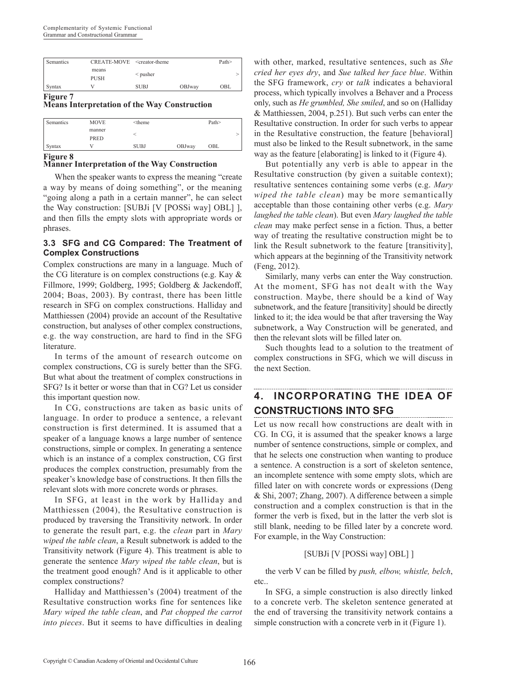| Semantics | CREATE-MOVE <creator-theme< th=""><th></th><th></th><th>Path&gt;</th></creator-theme<> |             |        | Path> |
|-----------|----------------------------------------------------------------------------------------|-------------|--------|-------|
|           | means<br>PUSH                                                                          | $<$ pusher  |        | ↘     |
| Syntax    |                                                                                        | <b>SUBJ</b> | OBJway | OBL   |

#### **Figure 7**

**Means Interpretation of the Way Construction**

| Semantics | <b>MOVE</b> | <theme< th=""><th></th><th>Path&gt;</th><th></th></theme<> |        | Path> |  |
|-----------|-------------|------------------------------------------------------------|--------|-------|--|
|           | manner      |                                                            |        |       |  |
|           | <b>PRED</b> |                                                            |        |       |  |
| Syntax    |             | <b>SUBJ</b>                                                | OBJway | OBL   |  |

#### **Manner Interpretation of the Way Construction**

When the speaker wants to express the meaning "create a way by means of doing something", or the meaning "going along a path in a certain manner", he can select the Way construction: [SUBJi [V [POSSi way] OBL] ], and then fills the empty slots with appropriate words or phrases.

#### **3.3 SFG and CG Compared: The Treatment of Complex Constructions**

Complex constructions are many in a language. Much of the CG literature is on complex constructions (e.g. Kay & Fillmore, 1999; Goldberg, 1995; Goldberg & Jackendoff, 2004; Boas, 2003). By contrast, there has been little research in SFG on complex constructions. Halliday and Matthiessen (2004) provide an account of the Resultative construction, but analyses of other complex constructions, e.g. the way construction, are hard to find in the SFG **literature** 

In terms of the amount of research outcome on complex constructions, CG is surely better than the SFG. But what about the treatment of complex constructions in SFG? Is it better or worse than that in CG? Let us consider this important question now.

In CG, constructions are taken as basic units of language. In order to produce a sentence, a relevant construction is first determined. It is assumed that a speaker of a language knows a large number of sentence constructions, simple or complex. In generating a sentence which is an instance of a complex construction, CG first produces the complex construction, presumably from the speaker's knowledge base of constructions. It then fills the relevant slots with more concrete words or phrases.

In SFG, at least in the work by Halliday and Matthiessen (2004), the Resultative construction is produced by traversing the Transitivity network. In order to generate the result part, e.g. the *clean* part in *Mary wiped the table clean*, a Result subnetwork is added to the Transitivity network (Figure 4). This treatment is able to generate the sentence *Mary wiped the table clean*, but is the treatment good enough? And is it applicable to other complex constructions?

Halliday and Matthiessen's (2004) treatment of the Resultative construction works fine for sentences like *Mary wiped the table clean*, and *Pat chopped the carrot into pieces*. But it seems to have difficulties in dealing with other, marked, resultative sentences, such as *She cried her eyes dry*, and *Sue talked her face blue*. Within the SFG framework, *cry* or *talk* indicates a behavioral process, which typically involves a Behaver and a Process only, such as *He grumbled, She smiled*, and so on (Halliday & Matthiessen, 2004, p.251). But such verbs can enter the Resultative construction. In order for such verbs to appear in the Resultative construction, the feature [behavioral] must also be linked to the Result subnetwork, in the same way as the feature [elaborating] is linked to it (Figure 4).

But potentially any verb is able to appear in the Resultative construction (by given a suitable context); resultative sentences containing some verbs (e.g. *Mary wiped the table clean*) may be more semantically acceptable than those containing other verbs (e.g. *Mary laughed the table clean*). But even *Mary laughed the table clean* may make perfect sense in a fiction. Thus, a better way of treating the resultative construction might be to link the Result subnetwork to the feature [transitivity], which appears at the beginning of the Transitivity network (Feng, 2012).

Similarly, many verbs can enter the Way construction. At the moment, SFG has not dealt with the Way construction. Maybe, there should be a kind of Way subnetwork, and the feature [transitivity] should be directly linked to it; the idea would be that after traversing the Way subnetwork, a Way Construction will be generated, and then the relevant slots will be filled later on.

Such thoughts lead to a solution to the treatment of complex constructions in SFG, which we will discuss in the next Section.

# **4. INCORPORATING THE IDEA OF CONSTRUCTIONS INTO SFG**

Let us now recall how constructions are dealt with in CG. In CG, it is assumed that the speaker knows a large number of sentence constructions, simple or complex, and that he selects one construction when wanting to produce a sentence. A construction is a sort of skeleton sentence, an incomplete sentence with some empty slots, which are filled later on with concrete words or expressions (Deng & Shi, 2007; Zhang, 2007). A difference between a simple construction and a complex construction is that in the former the verb is fixed, but in the latter the verb slot is still blank, needing to be filled later by a concrete word. For example, in the Way Construction:

## [SUBJi [V [POSSi way] OBL] ]

the verb V can be filled by *push, elbow, whistle, belch*, etc..

In SFG, a simple construction is also directly linked to a concrete verb. The skeleton sentence generated at the end of traversing the transitivity network contains a simple construction with a concrete verb in it (Figure 1).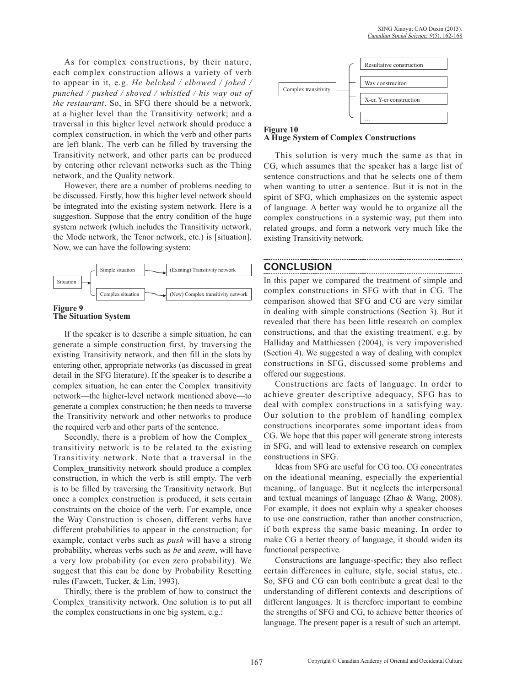As for complex constructions, by their nature, each complex construction allows a variety of verb to appear in it, e.g. *He belched / elbowed / joked / punched / pushed / shoved / whistled / his way out of the restaurant*. So, in SFG there should be a network, at a higher level than the Transitivity network; and a traversal in this higher level network should produce a complex construction, in which the verb and other parts are left blank. The verb can be filled by traversing the Transitivity network, and other parts can be produced by entering other relevant networks such as the Thing network, and the Quality network.

However, there are a number of problems needing to be discussed. Firstly, how this higher level network should be integrated into the existing system network. Here is a suggestion. Suppose that the entry condition of the huge system network (which includes the Transitivity network, the Mode network, the Tenor network, etc.) is [situation]. Now, we can have the following system:



#### **Figure 9 The Situation System**

If the speaker is to describe a simple situation, he can generate a simple construction first, by traversing the existing Transitivity network, and then fill in the slots by entering other, appropriate networks (as discussed in great detail in the SFG literature). If the speaker is to describe a complex situation, he can enter the Complex\_transitivity network—the higher-level network mentioned above—to generate a complex construction; he then needs to traverse the Transitivity network and other networks to produce the required verb and other parts of the sentence.

Secondly, there is a problem of how the Complex\_ transitivity network is to be related to the existing Transitivity network. Note that a traversal in the Complex transitivity network should produce a complex construction, in which the verb is still empty. The verb is to be filled by traversing the Transitivity network. But once a complex construction is produced, it sets certain constraints on the choice of the verb. For example, once the Way Construction is chosen, different verbs have different probabilities to appear in the construction; for example, contact verbs such as *push* will have a strong probability, whereas verbs such as *be* and *seem*, will have a very low probability (or even zero probability). We suggest that this can be done by Probability Resetting rules (Fawcett, Tucker, & Lin, 1993).

Thirdly, there is the problem of how to construct the Complex\_transitivity network. One solution is to put all the complex constructions in one big system, e.g.:



**A Huge System of Complex Constructions**

This solution is very much the same as that in CG, which assumes that the speaker has a large list of sentence constructions and that he selects one of them when wanting to utter a sentence. But it is not in the spirit of SFG, which emphasizes on the systemic aspect of language. A better way would be to organize all the complex constructions in a systemic way, put them into related groups, and form a network very much like the existing Transitivity network.

## **CONCLUSION**

In this paper we compared the treatment of simple and complex constructions in SFG with that in CG. The comparison showed that SFG and CG are very similar in dealing with simple constructions (Section 3). But it revealed that there has been little research on complex constructions, and that the existing treatment, e.g. by Halliday and Matthiessen (2004), is very impoverished (Section 4). We suggested a way of dealing with complex constructions in SFG, discussed some problems and offered our suggestions.

Constructions are facts of language. In order to achieve greater descriptive adequacy, SFG has to deal with complex constructions in a satisfying way. Our solution to the problem of handling complex constructions incorporates some important ideas from CG. We hope that this paper will generate strong interests in SFG, and will lead to extensive research on complex constructions in SFG.

Ideas from SFG are useful for CG too. CG concentrates on the ideational meaning, especially the experiential meaning, of language. But it neglects the interpersonal and textual meanings of language (Zhao & Wang, 2008). For example, it does not explain why a speaker chooses to use one construction, rather than another construction, if both express the same basic meaning. In order to make CG a better theory of language, it should widen its functional perspective.

Constructions are language-specific; they also reflect certain differences in culture, style, social status, etc.. So, SFG and CG can both contribute a great deal to the understanding of different contexts and descriptions of different languages. It is therefore important to combine the strengths of SFG and CG, to achieve better theories of language. The present paper is a result of such an attempt.